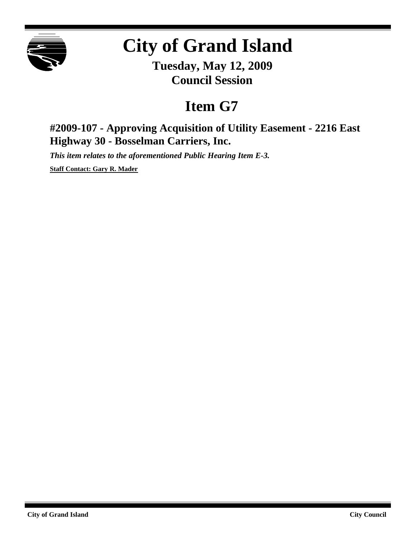

## **City of Grand Island**

**Tuesday, May 12, 2009 Council Session**

## **Item G7**

**#2009-107 - Approving Acquisition of Utility Easement - 2216 East Highway 30 - Bosselman Carriers, Inc.**

*This item relates to the aforementioned Public Hearing Item E-3.*

**Staff Contact: Gary R. Mader**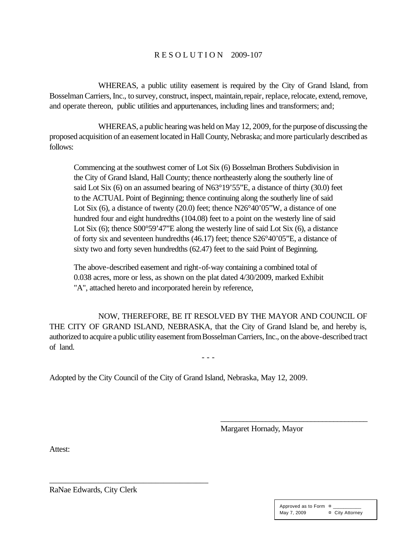## R E S O L U T I O N 2009-107

WHEREAS, a public utility easement is required by the City of Grand Island, from Bosselman Carriers, Inc., to survey, construct, inspect, maintain, repair, replace, relocate, extend, remove, and operate thereon, public utilities and appurtenances, including lines and transformers; and;

WHEREAS, a public hearing was held on May 12, 2009, for the purpose of discussing the proposed acquisition of an easement located in Hall County, Nebraska; and more particularly described as follows:

Commencing at the southwest corner of Lot Six (6) Bosselman Brothers Subdivision in the City of Grand Island, Hall County; thence northeasterly along the southerly line of said Lot Six (6) on an assumed bearing of N63°19'55"E, a distance of thirty (30.0) feet to the ACTUAL Point of Beginning; thence continuing along the southerly line of said Lot Six (6), a distance of twenty (20.0) feet; thence N26°40'05"W, a distance of one hundred four and eight hundredths (104.08) feet to a point on the westerly line of said Lot Six (6); thence S00°59'47''E along the westerly line of said Lot Six (6), a distance of forty six and seventeen hundredths (46.17) feet; thence S26°40'05"E, a distance of sixty two and forty seven hundredths (62.47) feet to the said Point of Beginning.

The above-described easement and right-of-way containing a combined total of 0.038 acres, more or less, as shown on the plat dated 4/30/2009, marked Exhibit "A", attached hereto and incorporated herein by reference,

NOW, THEREFORE, BE IT RESOLVED BY THE MAYOR AND COUNCIL OF THE CITY OF GRAND ISLAND, NEBRASKA, that the City of Grand Island be, and hereby is, authorized to acquire a public utility easement from Bosselman Carriers, Inc., on the above-described tract of land.

- - -

Adopted by the City Council of the City of Grand Island, Nebraska, May 12, 2009.

Margaret Hornady, Mayor

\_\_\_\_\_\_\_\_\_\_\_\_\_\_\_\_\_\_\_\_\_\_\_\_\_\_\_\_\_\_\_\_\_\_\_\_\_\_\_

Attest:

RaNae Edwards, City Clerk

\_\_\_\_\_\_\_\_\_\_\_\_\_\_\_\_\_\_\_\_\_\_\_\_\_\_\_\_\_\_\_\_\_\_\_\_\_\_\_

| Approved as to Form $\overline{a}$ |                 |
|------------------------------------|-----------------|
| May 7, 2009                        | ¤ City Attorney |